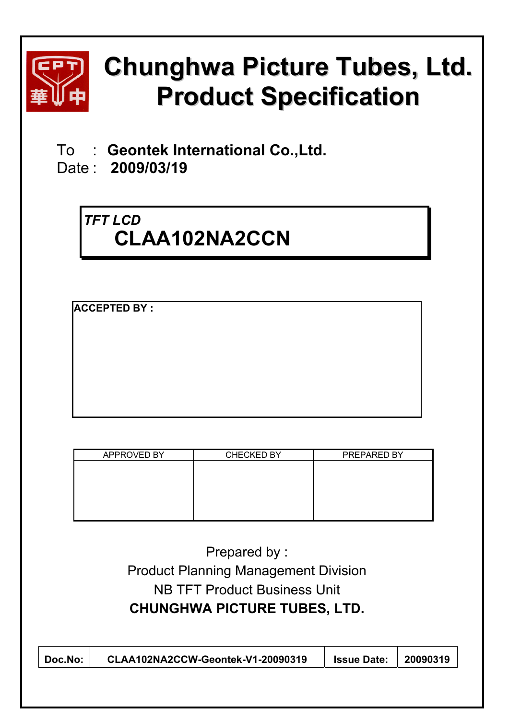

# **Chunghwa Picture Tubes, Ltd. Product Specification**

To : **Geontek International Co.,Ltd.** 

Date : **2009/03/19**

# *TFT LCD*  **CLAA102NA2CCN**

**ACCEPTED BY :** 

| APPROVED BY | <b>CHECKED BY</b> | PREPARED BY |
|-------------|-------------------|-------------|
|             |                   |             |
|             |                   |             |
|             |                   |             |
|             |                   |             |
|             |                   |             |
|             |                   |             |

Prepared by : Product Planning Management Division NB TFT Product Business Unit **CHUNGHWA PICTURE TUBES, LTD. Doc.No: CLAA102NA2CCW-Geontek-V1-20090319 Issue Date: 20090319**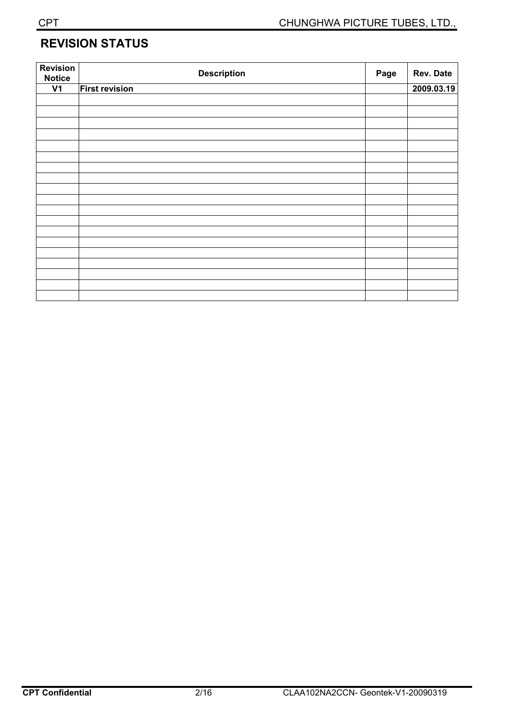## **REVISION STATUS**

| <b>Revision</b><br><b>Notice</b> | <b>Description</b>    | Page | Rev. Date  |
|----------------------------------|-----------------------|------|------------|
| V <sub>1</sub>                   | <b>First revision</b> |      | 2009.03.19 |
|                                  |                       |      |            |
|                                  |                       |      |            |
|                                  |                       |      |            |
|                                  |                       |      |            |
|                                  |                       |      |            |
|                                  |                       |      |            |
|                                  |                       |      |            |
|                                  |                       |      |            |
|                                  |                       |      |            |
|                                  |                       |      |            |
|                                  |                       |      |            |
|                                  |                       |      |            |
|                                  |                       |      |            |
|                                  |                       |      |            |
|                                  |                       |      |            |
|                                  |                       |      |            |
|                                  |                       |      |            |
|                                  |                       |      |            |
|                                  |                       |      |            |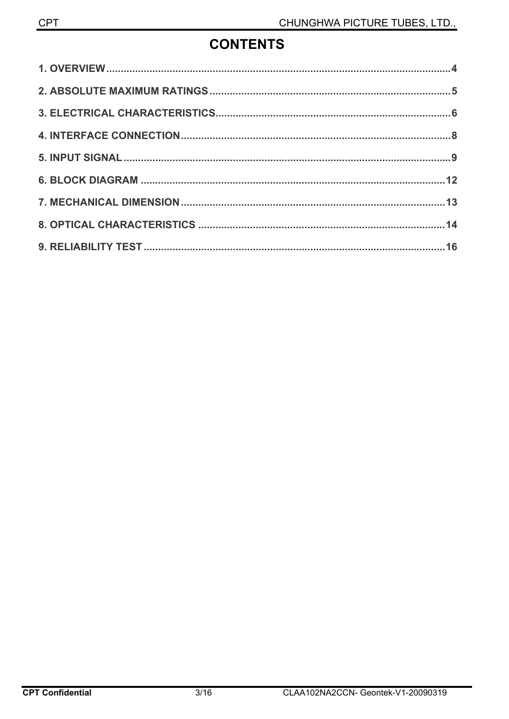# **CONTENTS**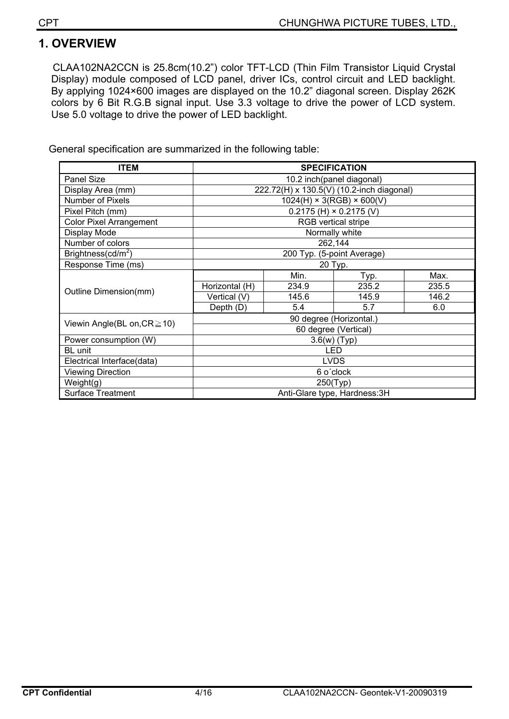# **1. OVERVIEW**

CLAA102NA2CCN is 25.8cm(10.2") color TFT-LCD (Thin Film Transistor Liquid Crystal Display) module composed of LCD panel, driver ICs, control circuit and LED backlight. By applying 1024×600 images are displayed on the 10.2" diagonal screen. Display 262K colors by 6 Bit R.G.B signal input. Use 3.3 voltage to drive the power of LCD system. Use 5.0 voltage to drive the power of LED backlight.

General specification are summarized in the following table:

| <b>ITEM</b>                       |                                           |                               | <b>SPECIFICATION</b>                  |       |  |  |  |  |
|-----------------------------------|-------------------------------------------|-------------------------------|---------------------------------------|-------|--|--|--|--|
| Panel Size                        | 10.2 inch(panel diagonal)                 |                               |                                       |       |  |  |  |  |
| Display Area (mm)                 | 222.72(H) x 130.5(V) (10.2-inch diagonal) |                               |                                       |       |  |  |  |  |
| Number of Pixels                  |                                           |                               | $1024(H) \times 3(RGB) \times 600(V)$ |       |  |  |  |  |
| Pixel Pitch (mm)                  |                                           |                               | $0.2175$ (H) $\times$ 0.2175 (V)      |       |  |  |  |  |
| <b>Color Pixel Arrangement</b>    |                                           |                               | <b>RGB</b> vertical stripe            |       |  |  |  |  |
| Display Mode                      |                                           |                               | Normally white                        |       |  |  |  |  |
| Number of colors                  |                                           |                               | 262,144                               |       |  |  |  |  |
| Brightness( $cd/m2$ )             |                                           |                               | 200 Typ. (5-point Average)            |       |  |  |  |  |
| Response Time (ms)                |                                           |                               | 20 Typ.                               |       |  |  |  |  |
|                                   |                                           | Min.                          | Typ.                                  | Max.  |  |  |  |  |
|                                   | Horizontal (H)                            | 234.9                         | 235.2                                 | 235.5 |  |  |  |  |
| Outline Dimension(mm)             | Vertical (V)                              | 145.6                         | 145.9                                 | 146.2 |  |  |  |  |
|                                   | Depth (D)                                 | 5.4                           | 5.7                                   | 6.0   |  |  |  |  |
|                                   | 90 degree (Horizontal.)                   |                               |                                       |       |  |  |  |  |
| Viewin Angle(BL on, $CR \ge 10$ ) |                                           |                               | 60 degree (Vertical)                  |       |  |  |  |  |
| Power consumption (W)             |                                           |                               | $3.6(w)$ (Typ)                        |       |  |  |  |  |
| <b>BL</b> unit                    |                                           |                               | LED                                   |       |  |  |  |  |
| Electrical Interface(data)        |                                           |                               | <b>LVDS</b>                           |       |  |  |  |  |
| <b>Viewing Direction</b>          |                                           |                               | 6 o'clock                             |       |  |  |  |  |
| Weight(g)                         |                                           |                               | 250(Typ)                              |       |  |  |  |  |
| <b>Surface Treatment</b>          |                                           | Anti-Glare type, Hardness: 3H |                                       |       |  |  |  |  |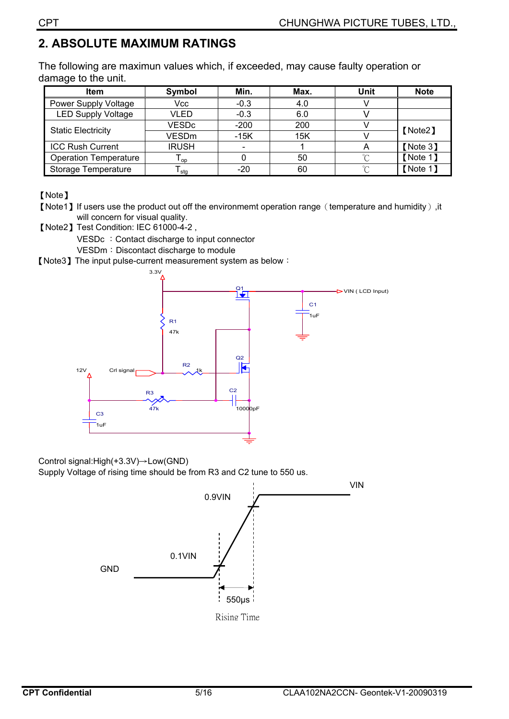# **2. ABSOLUTE MAXIMUM RATINGS**

The following are maximun values which, if exceeded, may cause faulty operation or damage to the unit.

| <b>Item</b>                  | <b>Symbol</b> | Min.   | Max. | Unit   | <b>Note</b> |
|------------------------------|---------------|--------|------|--------|-------------|
| Power Supply Voltage         | Vcc           | $-0.3$ | 4.0  |        |             |
| <b>LED Supply Voltage</b>    | VLED          | $-0.3$ | 6.0  |        |             |
| <b>Static Electricity</b>    | <b>VESDc</b>  | $-200$ | 200  |        | [Note2]     |
|                              | <b>VESDm</b>  | $-15K$ | 15K  |        |             |
| <b>ICC Rush Current</b>      | <b>IRUSH</b>  |        |      |        | [Note 3]    |
| <b>Operation Temperature</b> | l op l        |        | 50   | $\sim$ | [Note 1]    |
| Storage Temperature          | stq           | -20    | 60   | $\sim$ | [Note 1]    |

[Note]

- [Note1] If users use the product out off the environmemt operation range (temperature and humidity), it will concern for visual quality.
- [Note2] Test Condition: IEC 61000-4-2,

VESDc : Contact discharge to input connector

VESDm: Discontact discharge to module

[Note3] The input pulse-current measurement system as below:



Control signal: $High(+3.3V) \rightarrow Low(GND)$ 

Supply Voltage of rising time should be from R3 and C2 tune to 550 us.

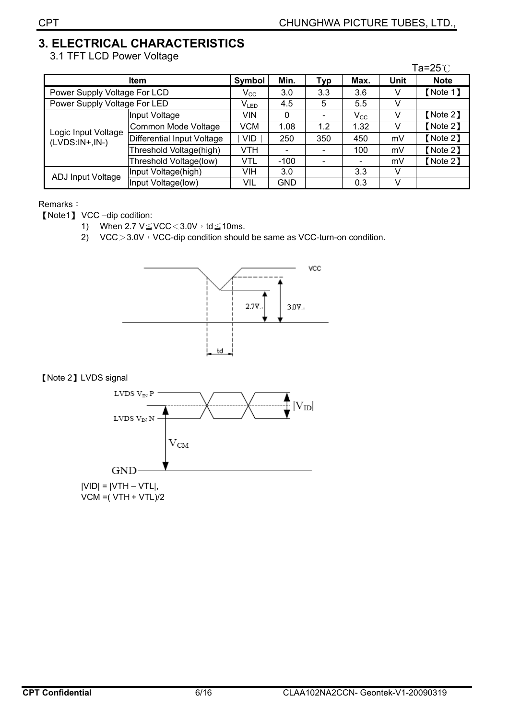# **3. ELECTRICAL CHARACTERISTICS**

3.1 TFT LCD Power Voltage

|                              |                            |              |            |                          |              |      | Ta=25 $°C$  |
|------------------------------|----------------------------|--------------|------------|--------------------------|--------------|------|-------------|
|                              | <b>Item</b>                | Symbol       | Min.       | <b>Typ</b>               | Max.         | Unit | <b>Note</b> |
| Power Supply Voltage For LCD |                            | $\rm V_{CC}$ | 3.0        | 3.3                      | 3.6          | v    | [Note 1]    |
| Power Supply Voltage For LED |                            | $V_{LED}$    | 4.5        | 5                        | 5.5          | V    |             |
|                              | Input Voltage              | <b>VIN</b>   | 0          |                          | $V_{\rm CC}$ | v    | [Note 2]    |
| Logic Input Voltage          | Common Mode Voltage        | <b>VCM</b>   | 1.08       | 1.2                      | 1.32         | v    | [Note 2]    |
| $(LVDS:IN+,IN-)$             | Differential Input Voltage | <b>VID</b>   | 250        | 350                      | 450          | mV   | [Note 2]    |
|                              | Threshold Voltage(high)    | VTH          |            | $\overline{\phantom{0}}$ | 100          | mV   | [Note 2]    |
|                              | Threshold Voltage(low)     | VTL          | $-100$     |                          |              | mV   | [Note 2]    |
|                              | Input Voltage(high)        | VIH          | 3.0        |                          | 3.3          | v    |             |
| ADJ Input Voltage            | Input Voltage(low)         | VIL          | <b>GND</b> |                          | 0.3          | v    |             |

Remarks:

[Note1] VCC –dip codition:

- 1) When  $2.7 \text{ V} \leq \text{VCC} \leq 3.0 \text{ V} \cdot \text{td} \leq 10 \text{ms}.$
- 2) VCC $>3.0V$ , VCC-dip condition should be same as VCC-turn-on condition.



#### [Note 2] LVDS signal

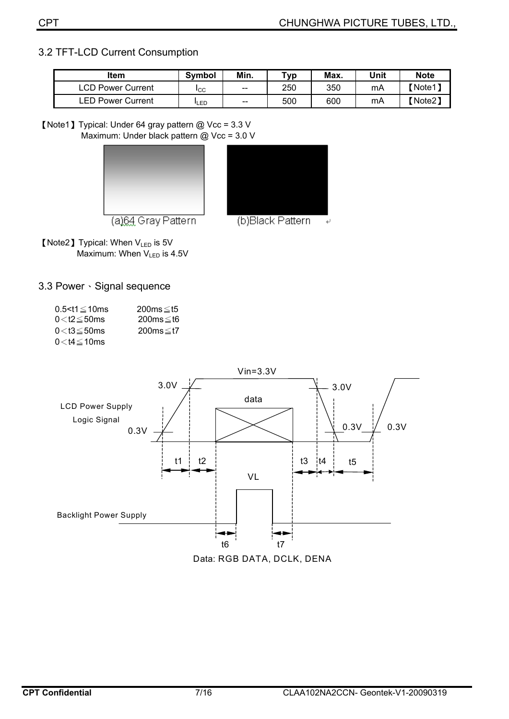#### 3.2 TFT-LCD Current Consumption

| ltem                     | Symbol       | Min.  | тур | Max. | Unit | <b>Note</b> |
|--------------------------|--------------|-------|-----|------|------|-------------|
| <b>LCD Power Current</b> | <b>I</b> CC  | $- -$ | 250 | 350  | mA   | Note1]      |
| <b>LED Power Current</b> | <b>I</b> LED | $- -$ | 500 | 600  | mA   | Note2)      |

[Note1] Typical: Under 64 gray pattern @ Vcc = 3.3 V Maximum: Under black pattern @ Vcc = 3.0 V





(a)64 Gray Pattern

[Note2] Typical: When V<sub>LED</sub> is 5V Maximum: When  $V_{LED}$  is 4.5V

3.3 Power · Signal sequence

| $0.5 < t1 \leq 10$ ms | 200ms≤t5         |
|-----------------------|------------------|
| $0<$ t2 $\leq$ 50ms   | 200ms≤t6         |
| $0<$ t3 $\leq$ 50 ms  | 200 $ms \leq t7$ |
| $0<$ t4 $\leq$ 10ms   |                  |

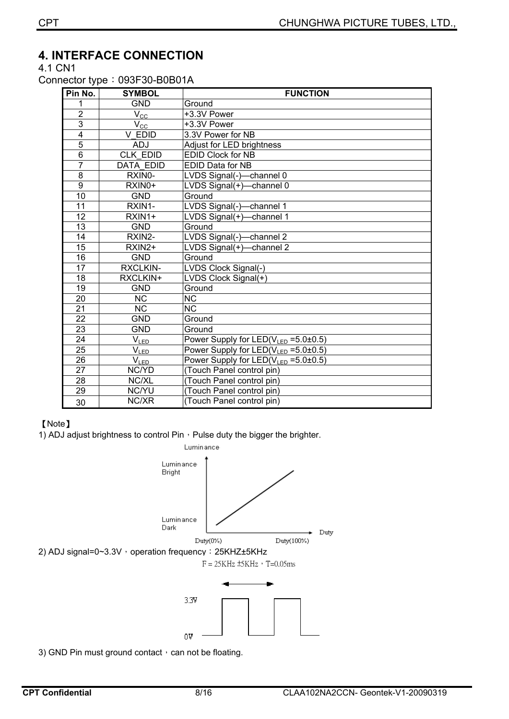## **4. INTERFACE CONNECTION**

4.1 CN1

Connector type: 093F30-B0B01A

| Pin No.                 | <b>SYMBOL</b>          | <b>FUNCTION</b>                                  |
|-------------------------|------------------------|--------------------------------------------------|
| 1                       | <b>GND</b>             | Ground                                           |
| $\overline{2}$          | $V_{\rm CC}$           | +3.3V Power                                      |
| $\overline{3}$          | $V_{\underline{CC}}$   | +3.3V Power                                      |
| $\overline{\mathbf{4}}$ | V EDID                 | 3.3V Power for NB                                |
| $\overline{5}$          | <b>ADJ</b>             | Adjust for LED brightness                        |
| $\overline{6}$          | <b>CLK EDID</b>        | <b>EDID Clock for NB</b>                         |
| $\overline{7}$          | <b>DATA EDID</b>       | <b>EDID Data for NB</b>                          |
| 8                       | RXIN0-                 | LVDS Signal(-)-channel 0                         |
| $\overline{9}$          | RXIN0+                 | LVDS Signal(+)-channel 0                         |
| $\overline{10}$         | <b>GND</b>             | Ground                                           |
| $\overline{11}$         | RXIN1-                 | LVDS Signal(-)-channel 1                         |
| $\overline{12}$         | RXIN1+                 | LVDS Signal(+)-channel 1                         |
| 13                      | <b>GND</b>             | Ground                                           |
| $\overline{14}$         | RXIN2-                 | LVDS Signal(-)-channel 2                         |
| 15                      | RXIN2+                 | LVDS Signal(+)-channel 2                         |
| 16                      | <b>GND</b>             | Ground                                           |
| 17                      | <b>RXCLKIN-</b>        | LVDS Clock Signal(-)                             |
| 18                      | RXCLKIN+               | LVDS Clock Signal(+)                             |
| 19                      | <b>GND</b>             | Ground                                           |
| 20                      | <b>NC</b>              | <b>NC</b>                                        |
| $\overline{21}$         | $\overline{\text{NC}}$ | $\overline{\text{NC}}$                           |
| $\overline{22}$         | <b>GND</b>             | Ground                                           |
| $\overline{23}$         | <b>GND</b>             | Ground                                           |
| 24                      | V <sub>LED</sub>       | Power Supply for LED(V <sub>LED</sub> = 5.0±0.5) |
| $\overline{25}$         | $V_{LED}$              | Power Supply for LED(V <sub>LED</sub> = 5.0±0.5) |
| $\overline{26}$         | $V_{LED}$              | Power Supply for LED(VLED = 5.0±0.5)             |
| $\overline{27}$         | NC/YD                  | (Touch Panel control pin)                        |
| 28                      | NC/XL                  | (Touch Panel control pin)                        |
| 29                      | NC/YU                  | (Touch Panel control pin)                        |
| 30                      | NC/XR                  | (Touch Panel control pin)                        |

#### [Note]

1) ADJ adjust brightness to control Pin  $\cdot$  Pulse duty the bigger the brighter.



3) GND Pin must ground contact  $\cdot$  can not be floating.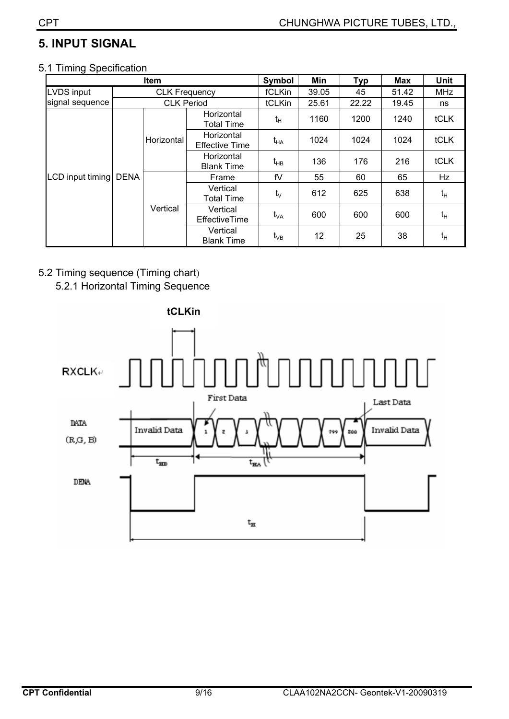# **5. INPUT SIGNAL**

#### 5.1 Timing Specification

|                   |             | <b>Item</b>          |                                     | Symbol     | Min   | <b>Typ</b> | Max   | <b>Unit</b> |
|-------------------|-------------|----------------------|-------------------------------------|------------|-------|------------|-------|-------------|
| <b>LVDS input</b> |             | <b>CLK Frequency</b> |                                     | fCLKin     | 39.05 | 45         | 51.42 | MHz         |
| signal sequence   |             | <b>CLK Period</b>    |                                     | tCLKin     | 25.61 | 22.22      | 19.45 | ns          |
|                   |             |                      | Horizontal<br><b>Total Time</b>     | $t_H$      | 1160  | 1200       | 1240  | tCLK        |
|                   |             | Horizontal           | Horizontal<br><b>Effective Time</b> |            | 1024  | 1024       | 1024  | tCLK        |
|                   |             |                      | Horizontal<br><b>Blank Time</b>     | $t_{HB}$   | 136   | 176        | 216   | tCLK        |
| LCD input timing  | <b>DENA</b> |                      | Frame                               | fV         | 55    | 60         | 65    | Hz          |
|                   |             |                      | Vertical<br><b>Total Time</b>       | $t_{\vee}$ | 612   | 625        | 638   | $t_H$       |
|                   |             | Vertical             | Vertical<br><b>EffectiveTime</b>    | $t_{VA}$   | 600   | 600        | 600   | $t_H$       |
|                   |             |                      | Vertical<br><b>Blank Time</b>       | $t_{VB}$   | 12    | 25         | 38    | $t_H$       |

#### 5.2 Timing sequence (Timing chart)

5.2.1 Horizontal Timing Sequence

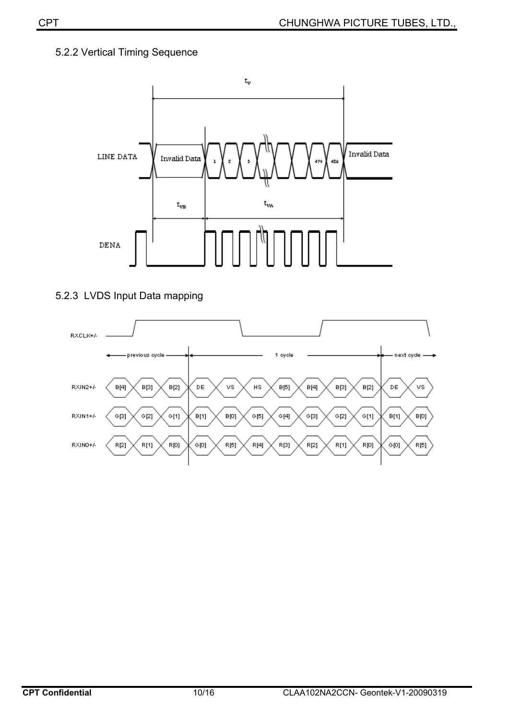#### 5.2.2 Vertical Timing Sequence



5.2.3 LVDS Input Data mapping

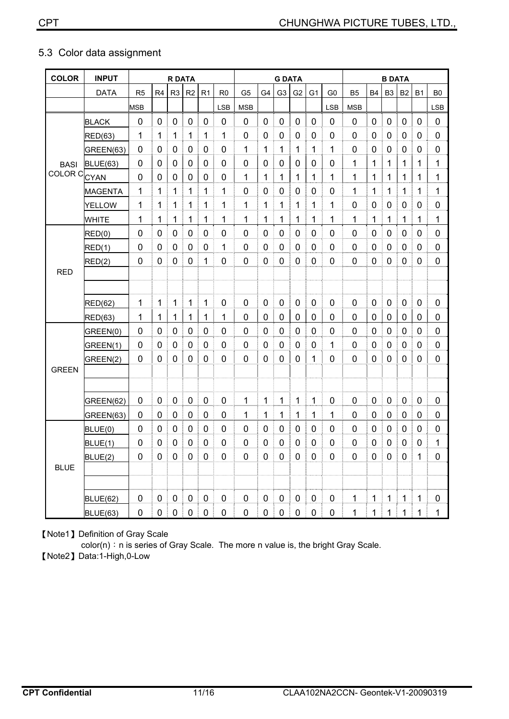#### 5.3 Color data assignment

| <b>COLOR</b> | <b>INPUT</b>    |                |           | <b>R DATA</b>  |                |                |                | <b>G DATA</b>  |                |                |                | <b>B DATA</b>  |                |                |              |                  |             |                |                |
|--------------|-----------------|----------------|-----------|----------------|----------------|----------------|----------------|----------------|----------------|----------------|----------------|----------------|----------------|----------------|--------------|------------------|-------------|----------------|----------------|
|              | <b>DATA</b>     | R <sub>5</sub> | R4        | R <sub>3</sub> | R <sub>2</sub> | R <sub>1</sub> | R <sub>0</sub> | G <sub>5</sub> | G <sub>4</sub> | G <sub>3</sub> | G <sub>2</sub> | G <sub>1</sub> | G <sub>0</sub> | <b>B5</b>      | <b>B4</b>    | B <sub>3</sub>   | <b>B2</b>   | <b>B1</b>      | B <sub>0</sub> |
|              |                 | <b>MSB</b>     |           |                |                |                | <b>LSB</b>     | <b>MSB</b>     |                |                |                |                | <b>LSB</b>     | <b>MSB</b>     |              |                  |             |                | <b>LSB</b>     |
|              | <b>BLACK</b>    | 0              | 0         | 0              | 0              | 0              | 0              | 0              | 0              | 0              | 0              | $\mathbf 0$    | 0              | 0              | 0            | $\mathbf 0$      | $\pmb{0}$   | $\mathbf 0$    | $\pmb{0}$      |
|              | RED(63)         | 1              | 1         | 1              | 1              | 1              | 1              | 0              | 0              | 0              | 0              | 0              | 0              | 0              | 0            | 0                | 0           | 0              | 0              |
|              | GREEN(63)       | 0              | 0         | 0              | 0              | 0              | 0              | 1              | 1              | 1              | 1              | 1              | 1              | $\overline{0}$ | 0            | 0                | 0           | 0              | 0              |
| <b>BASI</b>  | <b>BLUE(63)</b> | 0              | 0         | 0              | $\mathbf 0$    | 0              | 0              | 0              | $\mathbf 0$    | $\mathbf 0$    | 0              | $\mathbf 0$    | 0              | 1              | $\mathbf{1}$ | 1                | 1           | 1              | 1              |
| COLOR CCYAN  |                 | 0              | 0         | 0              | 0              | 0              | 0              | 1              | 1              | 1              | 1              | 1              | 1              | 1              | 1            | 1                | 1           | 1              | 1              |
|              | <b>MAGENTA</b>  | 1              | 1         | 1              | 1              | 1              | 1              | 0              | 0              | 0              | 0              | 0              | 0              | 1              | 1            | 1                | 1           | 1              | 1              |
|              | <b>YELLOW</b>   | 1              | 1         | 1              | 1              | 1              | 1              | 1              | 1              | 1              | 1              | 1              | 1              | 0              | 0            | 0                | 0           | 0              | $\mathbf 0$    |
|              | <b>WHITE</b>    | 1              | 1         | 1              | 1              | 1              | 1              | 1              | 1              | 1              | 1              | 1              | 1              | 1              | 1            | 1                | 1           | 1              | 1              |
|              | RED(0)          | 0              | 0         | 0              | 0              | 0              | 0              | 0              | 0              | 0              | 0              | 0              | 0              | 0              | 0            | 0                | 0           | 0              | 0              |
|              | RED(1)          | 0              | 0         | 0              | 0              | 0              | 1              | $\mathbf 0$    | 0              | 0              | 0              | 0              | 0              | 0              | 0            | 0                | 0           | 0              | 0              |
|              | RED(2)          | $\mathbf 0$    | 0         | 0              | 0              | 1              | 0              | $\mathbf 0$    | $\mathbf 0$    | 0              | $\mathbf 0$    | $\mathbf 0$    | 0              | $\overline{0}$ | 0            | 0                | 0           | 0              | $\mathbf 0$    |
| <b>RED</b>   |                 |                |           |                |                |                |                |                |                |                |                |                |                |                |              |                  |             |                |                |
|              |                 |                |           |                |                |                |                |                |                |                |                |                |                |                |              |                  |             |                |                |
|              | RED(62)         | 1              | 1         | 1              | 1              | 1              | $\mathbf 0$    | $\mathbf 0$    | $\mathbf 0$    | $\mathbf 0$    | 0              | $\mathbf 0$    | 0              | 0              | $\pmb{0}$    | $\pmb{0}$        | $\pmb{0}$   | $\mathbf 0$    | $\pmb{0}$      |
|              | RED(63)         | 1              | 1         | $\mathbf{1}$   | 1              | $\mathbf{1}$   | 1              | 0              | $\mathbf 0$    | $\mathbf 0$    | 0              | $\mathbf 0$    | 0              | 0              | 0            | $\mathbf 0$      | $\mathbf 0$ | 0              | $\mathbf 0$    |
|              | GREEN(0)        | 0              | 0         | 0              | 0              | 0              | 0              | $\mathbf 0$    | 0              | 0              | 0              | 0              | 0              | $\overline{0}$ | 0            | 0                | 0           | 0              | 0              |
|              | GREEN(1)        | 0              | 0         | 0              | 0              | 0              | 0              | 0              | 0              | 0              | 0              | 0              | 1              | 0              | 0            | 0                | 0           | 0              | 0              |
|              | GREEN(2)        | 0              | 0         | 0              | 0              | 0              | 0              | $\overline{0}$ | $\mathbf 0$    | 0              | 0              | 1              | 0              | $\overline{0}$ | 0            | 0                | 0           | 0              | $\mathbf 0$    |
| <b>GREEN</b> |                 |                |           |                |                |                |                |                |                |                |                |                |                |                |              |                  |             |                |                |
|              |                 |                |           |                |                |                |                |                |                |                |                |                |                |                |              |                  |             |                |                |
|              | GREEN(62)       | 0              | 0         | 0              | 0              | 0              | 0              | 1              | 1              | 1              | 1              | 1              | 0              | 0              | 0            | 0                | 0           | 0              | 0              |
|              | GREEN(63)       | 0              | 0         | 0              | 0              | $\mathbf 0$    | $\overline{0}$ | 1              | 1              | 1              | 1              | 1              | 1              | 0              | 0            | $\mathbf 0$      | 0           | $\overline{0}$ | $\mathbf 0$    |
|              | BLUE(0)         | 0              | 0         | 0              | 0              | 0              | 0              | 0              | 0              | 0              | 0              | 0              | 0              | 0              | 0            | 0                | 0           | 0              | 0              |
|              | BLUE(1)         | 0              | 0         | 0              | 0              | 0              | 0              | 0              | 0              | 0              | 0              | 0              | 0              | 0              | 0            | 0                | 0           | $\mathbf 0$    | 1              |
|              | BLUE(2)         | $\pmb{0}$      | 0         | $\pmb{0}$      | $\pmb{0}$      | $\pmb{0}$      | 0              | $\mathbf 0$    | $\pmb{0}$      | $\pmb{0}$      | $\pmb{0}$      | $\pmb{0}$      | 0              | $\mathbf 0$    | $\pmb{0}$    | $\boldsymbol{0}$ | $\pmb{0}$   | 1              | 0              |
| <b>BLUE</b>  |                 |                |           |                |                |                |                |                |                |                |                |                |                |                |              |                  |             |                |                |
|              |                 |                |           |                |                |                |                |                |                |                |                |                |                |                |              |                  |             |                |                |
|              | BLUE(62)        | $\pmb{0}$      | 0         | 0              | $\pmb{0}$      | 0              | 0              | $\pmb{0}$      | $\pmb{0}$      | $\pmb{0}$      | $\pmb{0}$      | $\pmb{0}$      | 0              | 1              | 1            | 1                | $\mathbf 1$ | 1              | $\pmb{0}$      |
|              | <b>BLUE(63)</b> | 0              | $\pmb{0}$ | $\pmb{0}$      | $\mathsf{O}$   | $\pmb{0}$      | $\pmb{0}$      | $\pmb{0}$      | 0              | $\mathbf 0$    | $\pmb{0}$      | $\pmb{0}$      | 0              | 1              | 1            | 1                | 1           | 1              | 1              |

[Note1] Definition of Gray Scale

color(n): n is series of Gray Scale. The more n value is, the bright Gray Scale.

[Note2] Data:1-High,0-Low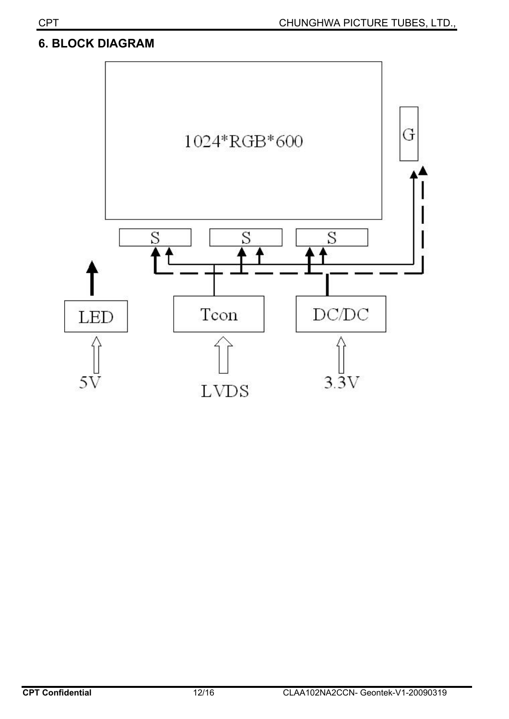# **6. BLOCK DIAGRAM**

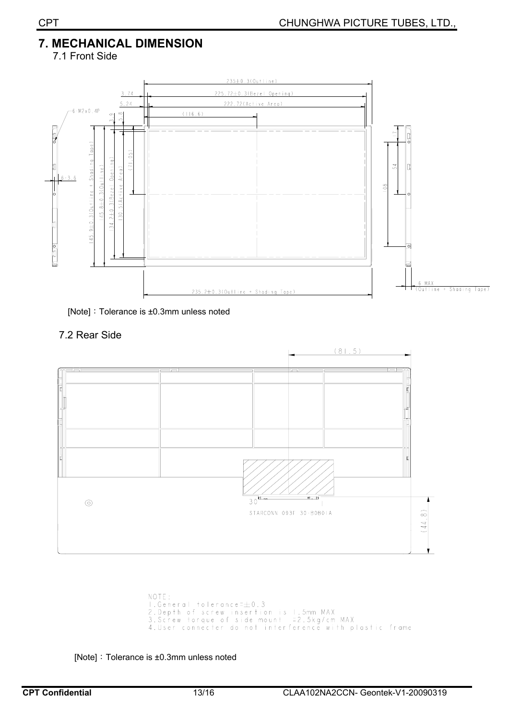#### **7. MECHANICAL DIMENSION**

7.1 Front Side



[Note]: Tolerance is ±0.3mm unless noted

7.2 Rear Side



```
NOTE:
1. General tolerance = ±0.3<br>2. Depth of screw insertion is 1.5mm MAX<br>3. Screw torque of side mount = 2.5 kg/cm MAX
4. User connecter do not interference with plastic frame
```
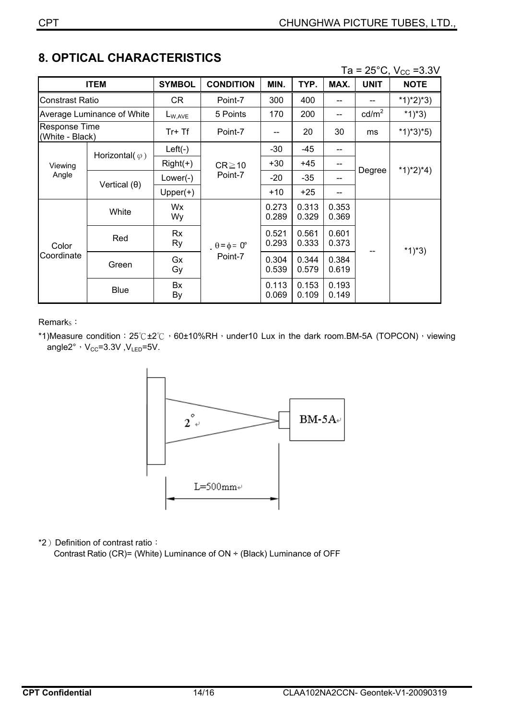|                                         |                            |                 |                             |                |                | . .            | 20 U, VUU       | $\sim\!\sim\!$ . |
|-----------------------------------------|----------------------------|-----------------|-----------------------------|----------------|----------------|----------------|-----------------|------------------|
| <b>ITEM</b>                             |                            | <b>SYMBOL</b>   | <b>CONDITION</b>            | MIN.           | TYP.           | MAX.           | <b>UNIT</b>     | <b>NOTE</b>      |
| <b>Constrast Ratio</b>                  |                            | CR              | Point-7                     | 300            | 400            |                |                 | $*1)*2)*3)$      |
|                                         | Average Luminance of White | $L_{W,AVE}$     | 5 Points                    | 170            | 200            | --             | $\text{cd/m}^2$ | $*1)*3)$         |
| <b>Response Time</b><br>(White - Black) |                            | $Tr+Tf$         | Point-7                     | --             | 20             | 30             | ms              | $*1)*3*5)$       |
|                                         | Horizontal( $\varphi$ )    | $Left(-)$       |                             | $-30$          | -45            |                |                 |                  |
| Viewing<br>Angle                        |                            | $Right(+)$      | $CR \ge 10$                 | $+30$          | $+45$          |                | Degree          | $*1)*2)*4)$      |
|                                         | Vertical $(\theta)$        | $Lower(-)$      | Point-7                     | $-20$          | $-35$          |                |                 |                  |
|                                         |                            | $Upper(+)$      |                             | $+10$          | $+25$          |                |                 |                  |
|                                         | White                      | Wx<br>Wy        |                             | 0.273<br>0.289 | 0.313<br>0.329 | 0.353<br>0.369 |                 | $*1)*3)$         |
| Color                                   | Red                        | <b>Rx</b><br>Ry | $\theta = \phi = 0^{\circ}$ | 0.521<br>0.293 | 0.561<br>0.333 | 0.601<br>0.373 |                 |                  |
| Coordinate                              | Green                      | Gx<br>Gy        | Point-7                     | 0.304<br>0.539 | 0.344<br>0.579 | 0.384<br>0.619 |                 |                  |
|                                         | <b>Blue</b>                | Bx<br>By        |                             | 0.113<br>0.069 | 0.153<br>0.109 | 0.193<br>0.149 |                 |                  |

# **8. OPTICAL CHARACTERISTICS**

 $Ta = 25^{\circ}C$ ,  $V_{CC} = 3.3V$ 

Remark<sub>s</sub>:

\*1)Measure condition:  $25^\circ$ C $\pm 2^\circ$ C  $\cdot$  60 $\pm$ 10%RH $\cdot$  under10 Lux in the dark room.BM-5A (TOPCON) $\cdot$  viewing angle2°,  $V_{CC}$ =3.3V,  $V_{LED}$ =5V.



\*2) Definition of contrast ratio:

Contrast Ratio (CR)= (White) Luminance of ON ÷ (Black) Luminance of OFF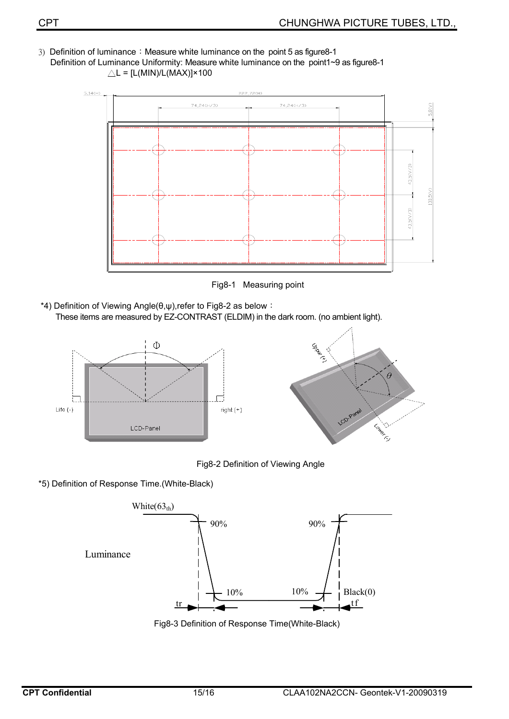3) Definition of luminance: Measure white luminance on the point 5 as figure8-1 Definition of Luminance Uniformity: Measure white luminance on the point1~9 as figure8-1  $\triangle L = [L(MIN)/L(MAX)] \times 100$ 



Fig8-1 Measuring point

\*4) Definition of Viewing Angle( $\theta, \psi$ ),refer to Fig8-2 as below : These items are measured by EZ-CONTRAST (ELDIM) in the dark room. (no ambient light).



Fig8-2 Definition of Viewing Angle

\*5) Definition of Response Time.(White-Black)



Fig8-3 Definition of Response Time(White-Black)